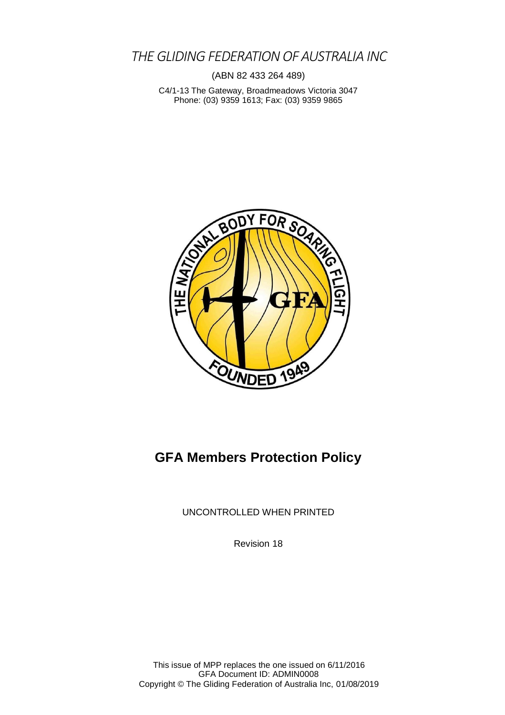*THE GLIDING FEDERATIONOF AUSTRALIA INC*

(ABN 82 433 264 489)

C4/1-13 The Gateway, Broadmeadows Victoria 3047 Phone: (03) 9359 1613; Fax: (03) 9359 9865



# **GFA Members Protection Policy**

UNCONTROLLED WHEN PRINTED

Revision 18

This issue of MPP replaces the one issued on 6/11/2016 GFA Document ID: ADMIN0008 Copyright © The Gliding Federation of Australia Inc, 01/08/2019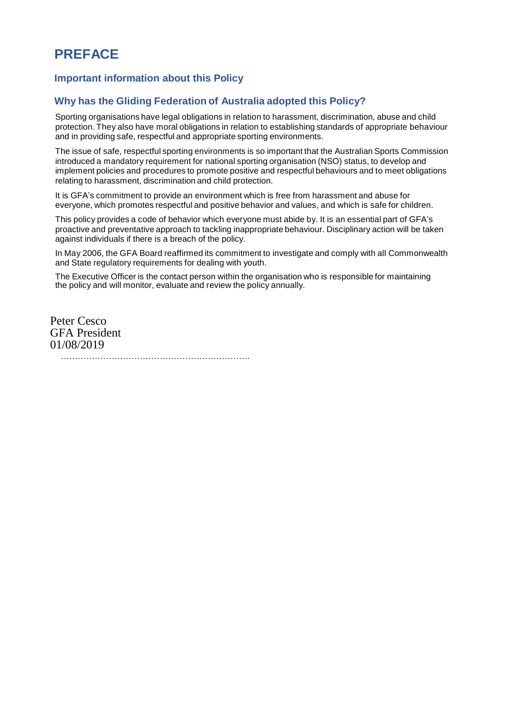# **PREFACE**

#### **Important information about this Policy**

#### **Why has the Gliding Federation of Australia adopted this Policy?**

Sporting organisations have legal obligations in relation to harassment, discrimination, abuse and child protection. They also have moral obligations in relation to establishing standards of appropriate behaviour and in providing safe, respectful and appropriate sporting environments.

The issue of safe, respectful sporting environments is so important that the Australian Sports Commission introduced a mandatory requirement for national sporting organisation (NSO) status, to develop and implement policies and procedures to promote positive and respectful behaviours and to meet obligations relating to harassment, discrimination and child protection.

It is GFA's commitment to provide an environment which is free from harassment and abuse for everyone, which promotes respectful and positive behavior and values, and which is safe for children.

This policy provides a code of behavior which everyone must abide by. It is an essential part of GFA's proactive and preventative approach to tackling inappropriate behaviour. Disciplinary action will be taken against individuals if there is a breach of the policy.

In May 2006, the GFA Board reaffirmed its commitment to investigate and comply with all Commonwealth and State regulatory requirements for dealing with youth.

The Executive Officer is the contact person within the organisation who is responsible for maintaining the policy and will monitor, evaluate and review the policy annually.

Peter Cesco GFA President 01/08/2019 ………………………………………………………….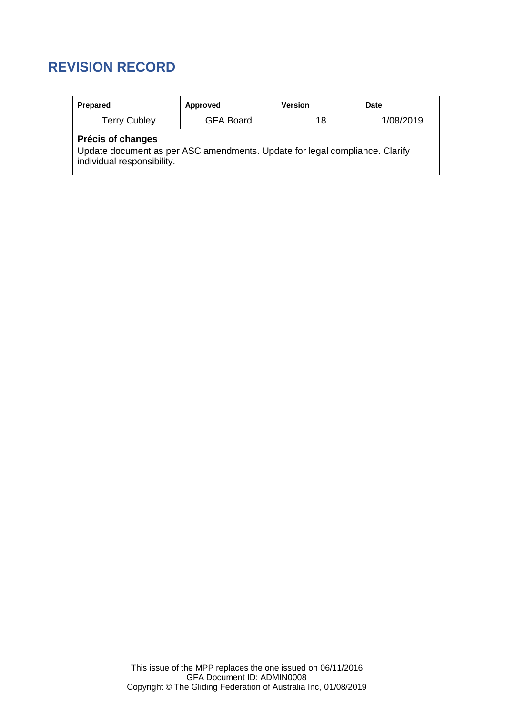# **REVISION RECORD**

| Prepared                                                                                                                       | Approved         | <b>Version</b> | Date      |  |  |  |
|--------------------------------------------------------------------------------------------------------------------------------|------------------|----------------|-----------|--|--|--|
| <b>Terry Cubley</b>                                                                                                            | <b>GFA Board</b> | 18             | 1/08/2019 |  |  |  |
| Précis of changes<br>Update document as per ASC amendments. Update for legal compliance. Clarify<br>individual responsibility. |                  |                |           |  |  |  |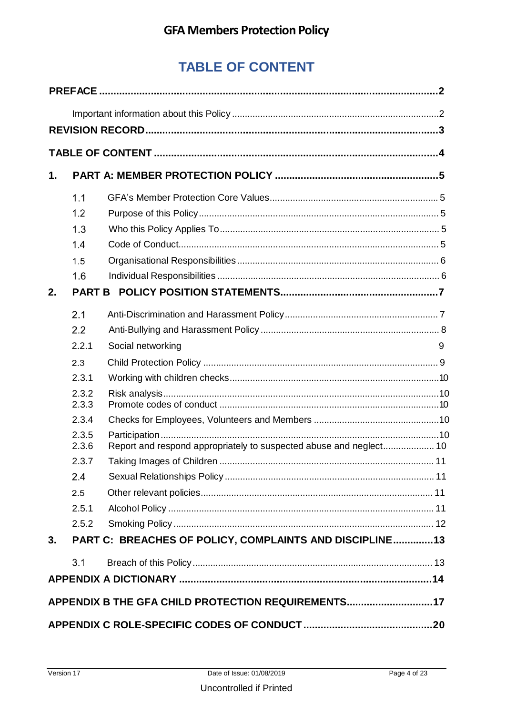# **TABLE OF CONTENT**

| $\mathbf 1$ .                                      |                |                                                         |   |  |  |  |
|----------------------------------------------------|----------------|---------------------------------------------------------|---|--|--|--|
|                                                    | 1.1            |                                                         |   |  |  |  |
|                                                    | 1.2            |                                                         |   |  |  |  |
|                                                    | 1.3            |                                                         |   |  |  |  |
|                                                    | 1.4            |                                                         |   |  |  |  |
|                                                    | 1.5            |                                                         |   |  |  |  |
|                                                    | 1.6            |                                                         |   |  |  |  |
| 2.                                                 | <b>PART B</b>  |                                                         |   |  |  |  |
|                                                    | 2.1            |                                                         |   |  |  |  |
|                                                    | 2.2            |                                                         |   |  |  |  |
|                                                    | 2.2.1          | Social networking                                       | 9 |  |  |  |
|                                                    | 2.3            |                                                         |   |  |  |  |
|                                                    | 2.3.1          |                                                         |   |  |  |  |
|                                                    | 2.3.2<br>2.3.3 |                                                         |   |  |  |  |
|                                                    | 2.3.4          |                                                         |   |  |  |  |
|                                                    | 2.3.5<br>2.3.6 |                                                         |   |  |  |  |
|                                                    | 2.3.7          |                                                         |   |  |  |  |
|                                                    | 2.4            |                                                         |   |  |  |  |
|                                                    | 2.5            |                                                         |   |  |  |  |
|                                                    | 2.5.1          |                                                         |   |  |  |  |
|                                                    | 2.5.2          |                                                         |   |  |  |  |
| 3.                                                 |                | PART C: BREACHES OF POLICY, COMPLAINTS AND DISCIPLINE13 |   |  |  |  |
|                                                    | 3.1            |                                                         |   |  |  |  |
|                                                    |                |                                                         |   |  |  |  |
| APPENDIX B THE GFA CHILD PROTECTION REQUIREMENTS17 |                |                                                         |   |  |  |  |
|                                                    |                |                                                         |   |  |  |  |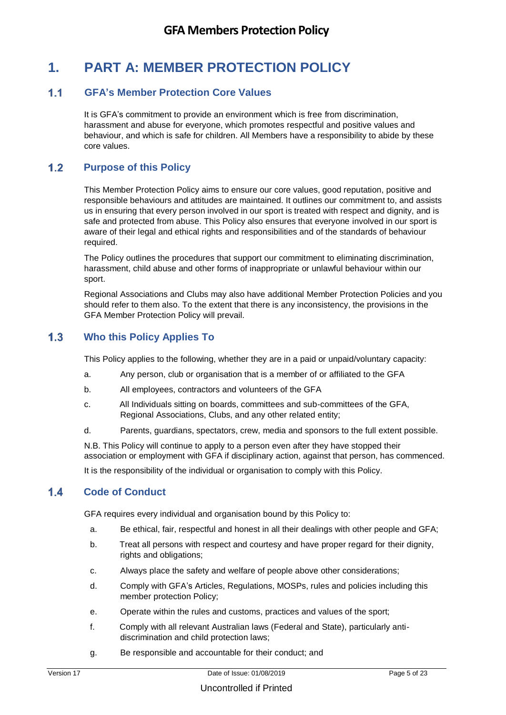# **1. PART A: MEMBER PROTECTION POLICY**

#### **GFA's Member Protection Core Values**

It is GFA's commitment to provide an environment which is free from discrimination, harassment and abuse for everyone, which promotes respectful and positive values and behaviour, and which is safe for children. All Members have a responsibility to abide by these core values.

#### **Purpose of this Policy**

This Member Protection Policy aims to ensure our core values, good reputation, positive and responsible behaviours and attitudes are maintained. It outlines our commitment to, and assists us in ensuring that every person involved in our sport is treated with respect and dignity, and is safe and protected from abuse. This Policy also ensures that everyone involved in our sport is aware of their legal and ethical rights and responsibilities and of the standards of behaviour required.

The Policy outlines the procedures that support our commitment to eliminating discrimination, harassment, child abuse and other forms of inappropriate or unlawful behaviour within our sport.

Regional Associations and Clubs may also have additional Member Protection Policies and you should refer to them also. To the extent that there is any inconsistency, the provisions in the GFA Member Protection Policy will prevail.

#### **Who this Policy Applies To**

This Policy applies to the following, whether they are in a paid or unpaid/voluntary capacity:

- a. Any person, club or organisation that is a member of or affiliated to the GFA
- b. All employees, contractors and volunteers of the GFA
- c. All Individuals sitting on boards, committees and sub-committees of the GFA, Regional Associations, Clubs, and any other related entity;
- d. Parents, guardians, spectators, crew, media and sponsors to the full extent possible.

N.B. This Policy will continue to apply to a person even after they have stopped their association or employment with GFA if disciplinary action, against that person, has commenced.

It is the responsibility of the individual or organisation to comply with this Policy.

### **Code of Conduct**

GFA requires every individual and organisation bound by this Policy to:

- a. Be ethical, fair, respectful and honest in all their dealings with other people and GFA;
- b. Treat all persons with respect and courtesy and have proper regard for their dignity, rights and obligations;
- c. Always place the safety and welfare of people above other considerations;
- d. Comply with GFA's Articles, Regulations, MOSPs, rules and policies including this member protection Policy;
- e. Operate within the rules and customs, practices and values of the sport;
- f. Comply with all relevant Australian laws (Federal and State), particularly antidiscrimination and child protection laws;
- g. Be responsible and accountable for their conduct; and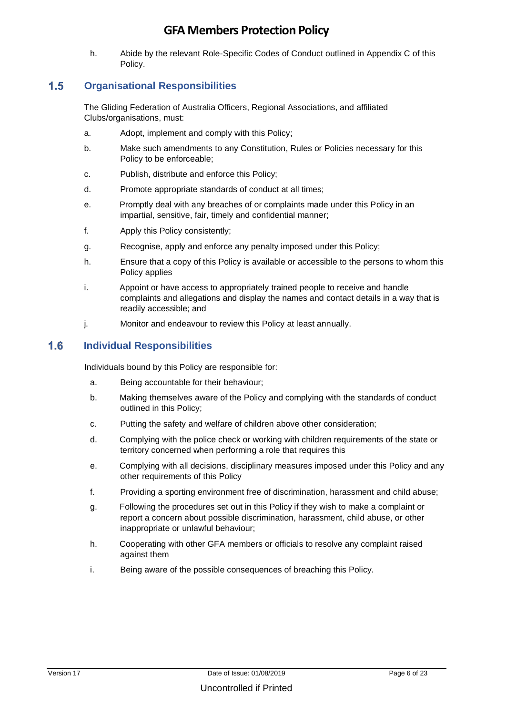h. Abide by the relevant Role-Specific Codes of Conduct outlined in Appendix C of this Policy.

### **Organisational Responsibilities**

The Gliding Federation of Australia Officers, Regional Associations, and affiliated Clubs/organisations, must:

- a. Adopt, implement and comply with this Policy;
- b. Make such amendments to any Constitution, Rules or Policies necessary for this Policy to be enforceable;
- c. Publish, distribute and enforce this Policy;
- d. Promote appropriate standards of conduct at all times;
- e. Promptly deal with any breaches of or complaints made under this Policy in an impartial, sensitive, fair, timely and confidential manner;
- f. Apply this Policy consistently;
- g. Recognise, apply and enforce any penalty imposed under this Policy;
- h. Ensure that a copy of this Policy is available or accessible to the persons to whom this Policy applies
- i. Appoint or have access to appropriately trained people to receive and handle complaints and allegations and display the names and contact details in a way that is readily accessible; and
- j. Monitor and endeavour to review this Policy at least annually.

### **Individual Responsibilities**

Individuals bound by this Policy are responsible for:

- a. Being accountable for their behaviour;
- b. Making themselves aware of the Policy and complying with the standards of conduct outlined in this Policy;
- c. Putting the safety and welfare of children above other consideration;
- d. Complying with the police check or working with children requirements of the state or territory concerned when performing a role that requires this
- e. Complying with all decisions, disciplinary measures imposed under this Policy and any other requirements of this Policy
- f. Providing a sporting environment free of discrimination, harassment and child abuse;
- g. Following the procedures set out in this Policy if they wish to make a complaint or report a concern about possible discrimination, harassment, child abuse, or other inappropriate or unlawful behaviour;
- h. Cooperating with other GFA members or officials to resolve any complaint raised against them
- i. Being aware of the possible consequences of breaching this Policy.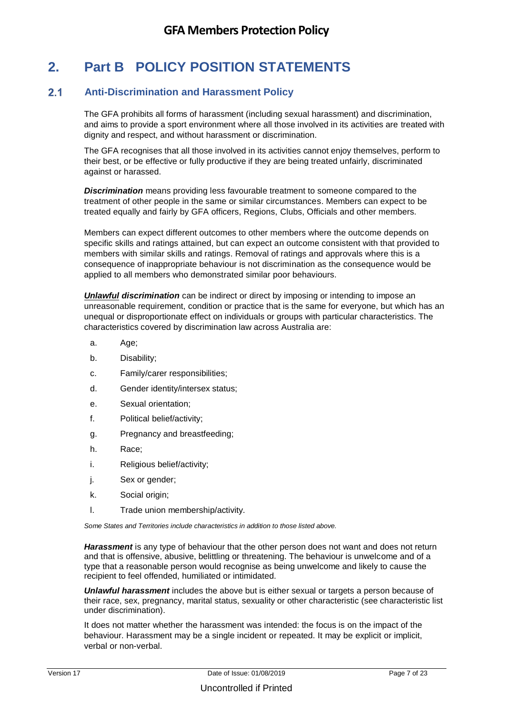# **2. Part B POLICY POSITION STATEMENTS**

### **Anti-Discrimination and Harassment Policy**

The GFA prohibits all forms of harassment (including sexual harassment) and discrimination, and aims to provide a sport environment where all those involved in its activities are treated with dignity and respect, and without harassment or discrimination.

The GFA recognises that all those involved in its activities cannot enjoy themselves, perform to their best, or be effective or fully productive if they are being treated unfairly, discriminated against or harassed.

*Discrimination* means providing less favourable treatment to someone compared to the treatment of other people in the same or similar circumstances. Members can expect to be treated equally and fairly by GFA officers, Regions, Clubs, Officials and other members.

Members can expect different outcomes to other members where the outcome depends on specific skills and ratings attained, but can expect an outcome consistent with that provided to members with similar skills and ratings. Removal of ratings and approvals where this is a consequence of inappropriate behaviour is not discrimination as the consequence would be applied to all members who demonstrated similar poor behaviours.

*Unlawful discrimination* can be indirect or direct by imposing or intending to impose an unreasonable requirement, condition or practice that is the same for everyone, but which has an unequal or disproportionate effect on individuals or groups with particular characteristics. The characteristics covered by discrimination law across Australia are:

- a. Age;
- b. Disability;
- c. Family/carer responsibilities;
- d. Gender identity/intersex status;
- e. Sexual orientation;
- f. Political belief/activity;
- g. Pregnancy and breastfeeding;
- h. Race;
- i. Religious belief/activity;
- j. Sex or gender;
- k. Social origin;
- l. Trade union membership/activity.

*Some States and Territories include characteristics in addition to those listed above.* 

*Harassment* is any type of behaviour that the other person does not want and does not return and that is offensive, abusive, belittling or threatening. The behaviour is unwelcome and of a type that a reasonable person would recognise as being unwelcome and likely to cause the recipient to feel offended, humiliated or intimidated.

*Unlawful harassment* includes the above but is either sexual or targets a person because of their race, sex, pregnancy, marital status, sexuality or other characteristic (see characteristic list under discrimination).

It does not matter whether the harassment was intended: the focus is on the impact of the behaviour. Harassment may be a single incident or repeated. It may be explicit or implicit, verbal or non-verbal.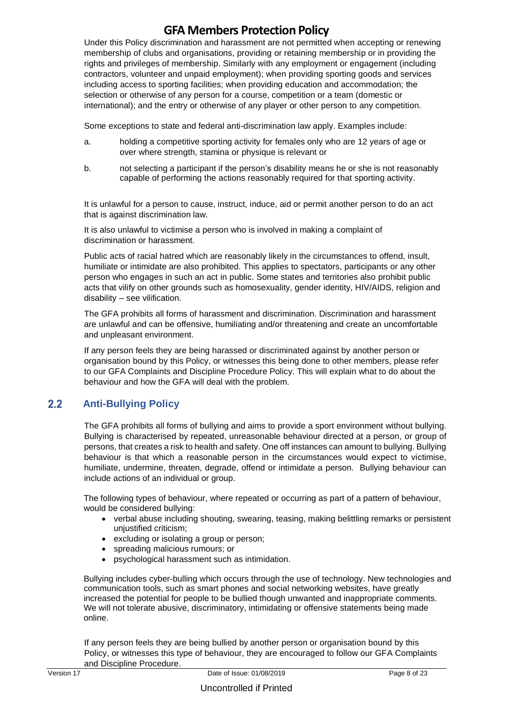Under this Policy discrimination and harassment are not permitted when accepting or renewing membership of clubs and organisations, providing or retaining membership or in providing the rights and privileges of membership. Similarly with any employment or engagement (including contractors, volunteer and unpaid employment); when providing sporting goods and services including access to sporting facilities; when providing education and accommodation; the selection or otherwise of any person for a course, competition or a team (domestic or international); and the entry or otherwise of any player or other person to any competition.

Some exceptions to state and federal anti-discrimination law apply. Examples include:

- a. holding a competitive sporting activity for females only who are 12 years of age or over where strength, stamina or physique is relevant or
- b. not selecting a participant if the person's disability means he or she is not reasonably capable of performing the actions reasonably required for that sporting activity.

It is unlawful for a person to cause, instruct, induce, aid or permit another person to do an act that is against discrimination law.

It is also unlawful to victimise a person who is involved in making a complaint of discrimination or harassment.

Public acts of racial hatred which are reasonably likely in the circumstances to offend, insult, humiliate or intimidate are also prohibited. This applies to spectators, participants or any other person who engages in such an act in public. Some states and territories also prohibit public acts that vilify on other grounds such as homosexuality, gender identity, HIV/AIDS, religion and disability – see vilification.

The GFA prohibits all forms of harassment and discrimination. Discrimination and harassment are unlawful and can be offensive, humiliating and/or threatening and create an uncomfortable and unpleasant environment.

If any person feels they are being harassed or discriminated against by another person or organisation bound by this Policy, or witnesses this being done to other members, please refer to our GFA Complaints and Discipline Procedure Policy. This will explain what to do about the behaviour and how the GFA will deal with the problem.

### **Anti-Bullying Policy**

The GFA prohibits all forms of bullying and aims to provide a sport environment without bullying. Bullying is characterised by repeated, unreasonable behaviour directed at a person, or group of persons, that creates a risk to health and safety. One off instances can amount to bullying. Bullying behaviour is that which a reasonable person in the circumstances would expect to victimise, humiliate, undermine, threaten, degrade, offend or intimidate a person. Bullying behaviour can include actions of an individual or group.

The following types of behaviour, where repeated or occurring as part of a pattern of behaviour, would be considered bullying:

- verbal abuse including shouting, swearing, teasing, making belittling remarks or persistent unjustified criticism;
- excluding or isolating a group or person;
- spreading malicious rumours; or
- psychological harassment such as intimidation.

Bullying includes cyber-bulling which occurs through the use of technology. New technologies and communication tools, such as smart phones and social networking websites, have greatly increased the potential for people to be bullied though unwanted and inappropriate comments. We will not tolerate abusive, discriminatory, intimidating or offensive statements being made online.

If any person feels they are being bullied by another person or organisation bound by this Policy, or witnesses this type of behaviour, they are encouraged to follow our GFA Complaints and Discipline Procedure.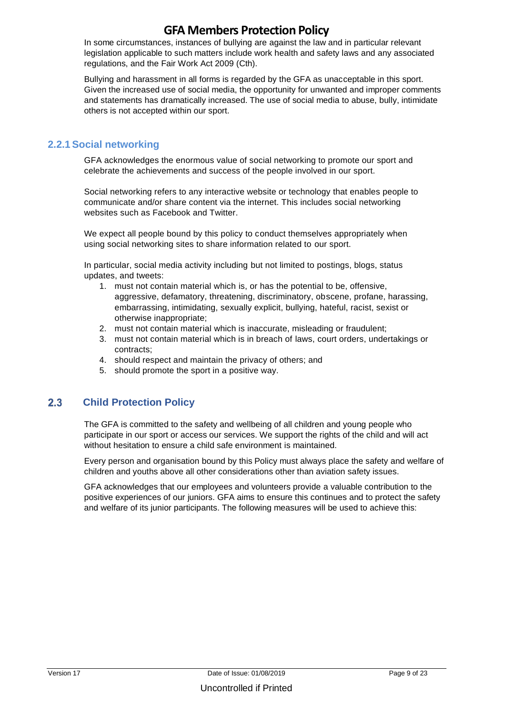In some circumstances, instances of bullying are against the law and in particular relevant legislation applicable to such matters include work health and safety laws and any associated regulations, and the Fair Work Act 2009 (Cth).

Bullying and harassment in all forms is regarded by the GFA as unacceptable in this sport. Given the increased use of social media, the opportunity for unwanted and improper comments and statements has dramatically increased. The use of social media to abuse, bully, intimidate others is not accepted within our sport.

### **2.2.1Social networking**

GFA acknowledges the enormous value of social networking to promote our sport and celebrate the achievements and success of the people involved in our sport.

Social networking refers to any interactive website or technology that enables people to communicate and/or share content via the internet. This includes social networking websites such as Facebook and Twitter.

We expect all people bound by this policy to conduct themselves appropriately when using social networking sites to share information related to our sport.

In particular, social media activity including but not limited to postings, blogs, status updates, and tweets:

- 1. must not contain material which is, or has the potential to be, offensive, aggressive, defamatory, threatening, discriminatory, obscene, profane, harassing, embarrassing, intimidating, sexually explicit, bullying, hateful, racist, sexist or otherwise inappropriate;
- 2. must not contain material which is inaccurate, misleading or fraudulent;
- 3. must not contain material which is in breach of laws, court orders, undertakings or contracts;
- 4. should respect and maintain the privacy of others; and
- 5. should promote the sport in a positive way.

### **Child Protection Policy**

The GFA is committed to the safety and wellbeing of all children and young people who participate in our sport or access our services. We support the rights of the child and will act without hesitation to ensure a child safe environment is maintained.

Every person and organisation bound by this Policy must always place the safety and welfare of children and youths above all other considerations other than aviation safety issues.

GFA acknowledges that our employees and volunteers provide a valuable contribution to the positive experiences of our juniors. GFA aims to ensure this continues and to protect the safety and welfare of its junior participants. The following measures will be used to achieve this: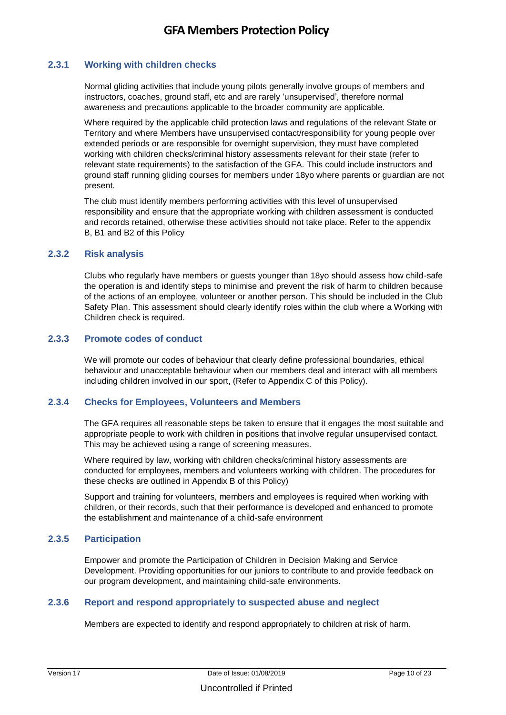#### **2.3.1 Working with children checks**

Normal gliding activities that include young pilots generally involve groups of members and instructors, coaches, ground staff, etc and are rarely 'unsupervised', therefore normal awareness and precautions applicable to the broader community are applicable.

Where required by the applicable child protection laws and regulations of the relevant State or Territory and where Members have unsupervised contact/responsibility for young people over extended periods or are responsible for overnight supervision, they must have completed working with children checks/criminal history assessments relevant for their state (refer to relevant state requirements) to the satisfaction of the GFA. This could include instructors and ground staff running gliding courses for members under 18yo where parents or guardian are not present.

The club must identify members performing activities with this level of unsupervised responsibility and ensure that the appropriate working with children assessment is conducted and records retained, otherwise these activities should not take place. Refer to the appendix B, B1 and B2 of this Policy

#### **2.3.2 Risk analysis**

Clubs who regularly have members or guests younger than 18yo should assess how child-safe the operation is and identify steps to minimise and prevent the risk of harm to children because of the actions of an employee, volunteer or another person. This should be included in the Club Safety Plan. This assessment should clearly identify roles within the club where a Working with Children check is required.

#### **2.3.3 Promote codes of conduct**

We will promote our codes of behaviour that clearly define professional boundaries, ethical behaviour and unacceptable behaviour when our members deal and interact with all members including children involved in our sport, (Refer to Appendix C of this Policy).

#### **2.3.4 Checks for Employees, Volunteers and Members**

The GFA requires all reasonable steps be taken to ensure that it engages the most suitable and appropriate people to work with children in positions that involve regular unsupervised contact. This may be achieved using a range of screening measures.

Where required by law, working with children checks/criminal history assessments are conducted for employees, members and volunteers working with children. The procedures for these checks are outlined in Appendix B of this Policy)

Support and training for volunteers, members and employees is required when working with children, or their records, such that their performance is developed and enhanced to promote the establishment and maintenance of a child-safe environment

#### **2.3.5 Participation**

Empower and promote the Participation of Children in Decision Making and Service Development. Providing opportunities for our juniors to contribute to and provide feedback on our program development, and maintaining child-safe environments.

#### **2.3.6 Report and respond appropriately to suspected abuse and neglect**

Members are expected to identify and respond appropriately to children at risk of harm.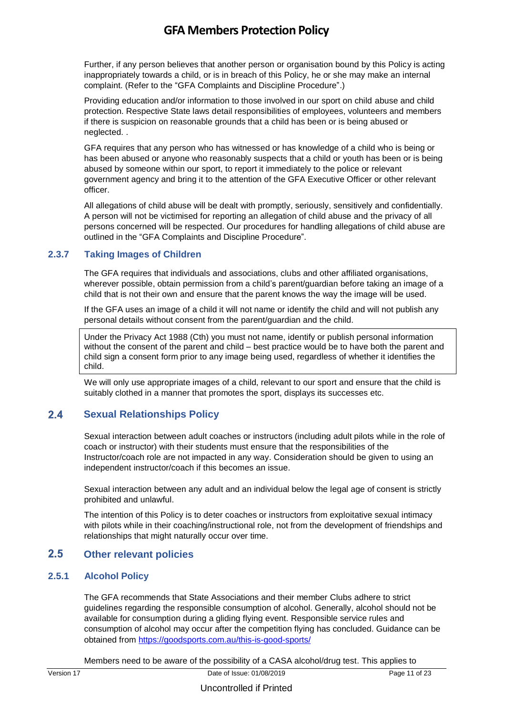Further, if any person believes that another person or organisation bound by this Policy is acting inappropriately towards a child, or is in breach of this Policy, he or she may make an internal complaint. (Refer to the "GFA Complaints and Discipline Procedure".)

Providing education and/or information to those involved in our sport on child abuse and child protection. Respective State laws detail responsibilities of employees, volunteers and members if there is suspicion on reasonable grounds that a child has been or is being abused or neglected. .

GFA requires that any person who has witnessed or has knowledge of a child who is being or has been abused or anyone who reasonably suspects that a child or youth has been or is being abused by someone within our sport, to report it immediately to the police or relevant government agency and bring it to the attention of the GFA Executive Officer or other relevant officer.

All allegations of child abuse will be dealt with promptly, seriously, sensitively and confidentially. A person will not be victimised for reporting an allegation of child abuse and the privacy of all persons concerned will be respected. Our procedures for handling allegations of child abuse are outlined in the "GFA Complaints and Discipline Procedure".

#### **2.3.7 Taking Images of Children**

The GFA requires that individuals and associations, clubs and other affiliated organisations, wherever possible, obtain permission from a child's parent/guardian before taking an image of a child that is not their own and ensure that the parent knows the way the image will be used.

If the GFA uses an image of a child it will not name or identify the child and will not publish any personal details without consent from the parent/guardian and the child.

Under the Privacy Act 1988 (Cth) you must not name, identify or publish personal information without the consent of the parent and child – best practice would be to have both the parent and child sign a consent form prior to any image being used, regardless of whether it identifies the child.

We will only use appropriate images of a child, relevant to our sport and ensure that the child is suitably clothed in a manner that promotes the sport, displays its successes etc.

### **Sexual Relationships Policy**

Sexual interaction between adult coaches or instructors (including adult pilots while in the role of coach or instructor) with their students must ensure that the responsibilities of the Instructor/coach role are not impacted in any way. Consideration should be given to using an independent instructor/coach if this becomes an issue.

Sexual interaction between any adult and an individual below the legal age of consent is strictly prohibited and unlawful.

The intention of this Policy is to deter coaches or instructors from exploitative sexual intimacy with pilots while in their coaching/instructional role, not from the development of friendships and relationships that might naturally occur over time.

### **Other relevant policies**

#### **2.5.1 Alcohol Policy**

The GFA recommends that State Associations and their member Clubs adhere to strict guidelines regarding the responsible consumption of alcohol. Generally, alcohol should not be available for consumption during a gliding flying event. Responsible service rules and consumption of alcohol may occur after the competition flying has concluded. Guidance can be obtained from <https://goodsports.com.au/this-is-good-sports/>

Members need to be aware of the possibility of a CASA alcohol/drug test. This applies to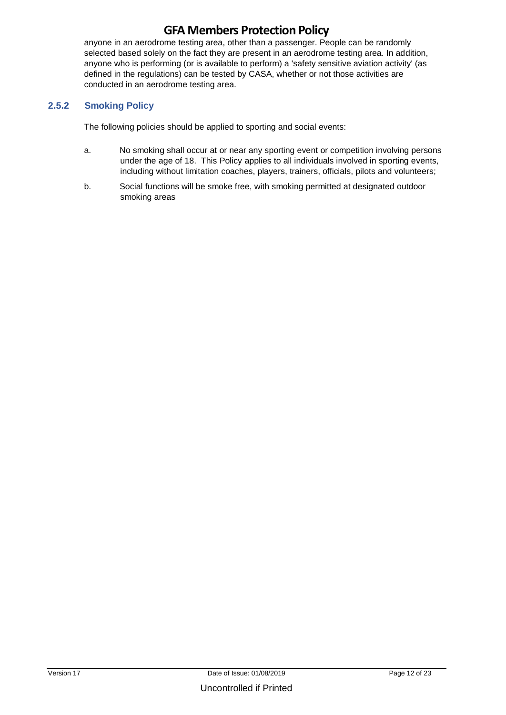anyone in an aerodrome testing area, other than a passenger. People can be randomly selected based solely on the fact they are present in an aerodrome testing area. In addition, anyone who is performing (or is available to perform) a 'safety sensitive aviation activity' (as defined in the regulations) can be tested by CASA, whether or not those activities are conducted in an aerodrome testing area.

#### **2.5.2 Smoking Policy**

The following policies should be applied to sporting and social events:

- a. No smoking shall occur at or near any sporting event or competition involving persons under the age of 18. This Policy applies to all individuals involved in sporting events, including without limitation coaches, players, trainers, officials, pilots and volunteers;
- b. Social functions will be smoke free, with smoking permitted at designated outdoor smoking areas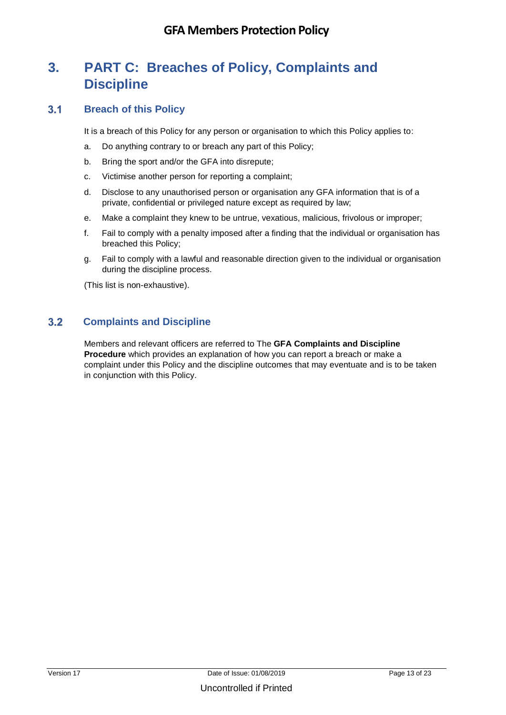# **3. PART C: Breaches of Policy, Complaints and Discipline**

#### **Breach of this Policy**

It is a breach of this Policy for any person or organisation to which this Policy applies to:

- a. Do anything contrary to or breach any part of this Policy;
- b. Bring the sport and/or the GFA into disrepute;
- c. Victimise another person for reporting a complaint;
- d. Disclose to any unauthorised person or organisation any GFA information that is of a private, confidential or privileged nature except as required by law;
- e. Make a complaint they knew to be untrue, vexatious, malicious, frivolous or improper;
- f. Fail to comply with a penalty imposed after a finding that the individual or organisation has breached this Policy;
- g. Fail to comply with a lawful and reasonable direction given to the individual or organisation during the discipline process.

(This list is non-exhaustive).

### **Complaints and Discipline**

Members and relevant officers are referred to The **GFA Complaints and Discipline Procedure** which provides an explanation of how you can report a breach or make a complaint under this Policy and the discipline outcomes that may eventuate and is to be taken in conjunction with this Policy.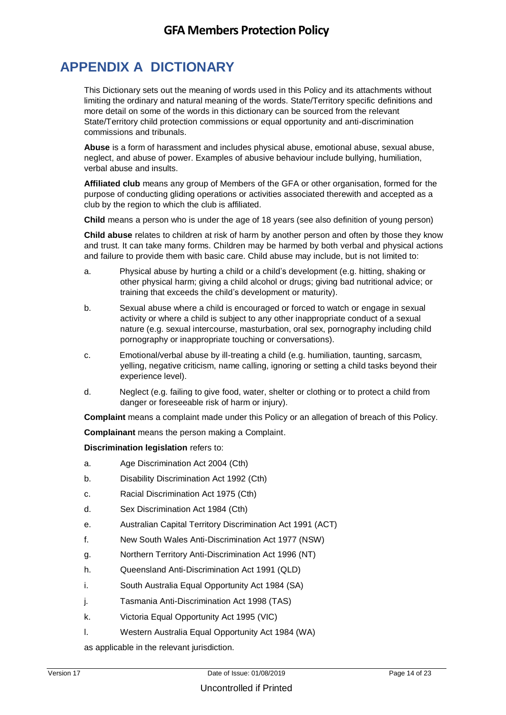# **APPENDIX A DICTIONARY**

This Dictionary sets out the meaning of words used in this Policy and its attachments without limiting the ordinary and natural meaning of the words. State/Territory specific definitions and more detail on some of the words in this dictionary can be sourced from the relevant State/Territory child protection commissions or equal opportunity and anti-discrimination commissions and tribunals.

**Abuse** is a form of harassment and includes physical abuse, emotional abuse, sexual abuse, neglect, and abuse of power. Examples of abusive behaviour include bullying, humiliation, verbal abuse and insults.

**Affiliated club** means any group of Members of the GFA or other organisation, formed for the purpose of conducting gliding operations or activities associated therewith and accepted as a club by the region to which the club is affiliated.

**Child** means a person who is under the age of 18 years (see also definition of young person)

**Child abuse** relates to children at risk of harm by another person and often by those they know and trust. It can take many forms. Children may be harmed by both verbal and physical actions and failure to provide them with basic care. Child abuse may include, but is not limited to:

- a. Physical abuse by hurting a child or a child's development (e.g. hitting, shaking or other physical harm; giving a child alcohol or drugs; giving bad nutritional advice; or training that exceeds the child's development or maturity).
- b. Sexual abuse where a child is encouraged or forced to watch or engage in sexual activity or where a child is subject to any other inappropriate conduct of a sexual nature (e.g. sexual intercourse, masturbation, oral sex, pornography including child pornography or inappropriate touching or conversations).
- c. Emotional/verbal abuse by ill-treating a child (e.g. humiliation, taunting, sarcasm, yelling, negative criticism, name calling, ignoring or setting a child tasks beyond their experience level).
- d. Neglect (e.g. failing to give food, water, shelter or clothing or to protect a child from danger or foreseeable risk of harm or injury).

**Complaint** means a complaint made under this Policy or an allegation of breach of this Policy.

**Complainant** means the person making a Complaint.

**Discrimination legislation** refers to:

- a. Age Discrimination Act 2004 (Cth)
- b. Disability Discrimination Act 1992 (Cth)
- c. Racial Discrimination Act 1975 (Cth)
- d. Sex Discrimination Act 1984 (Cth)
- e. Australian Capital Territory Discrimination Act 1991 (ACT)
- f. New South Wales Anti-Discrimination Act 1977 (NSW)
- g. Northern Territory Anti-Discrimination Act 1996 (NT)
- h. Queensland Anti-Discrimination Act 1991 (QLD)
- i. South Australia Equal Opportunity Act 1984 (SA)
- j. Tasmania Anti-Discrimination Act 1998 (TAS)
- k. Victoria Equal Opportunity Act 1995 (VIC)
- l. Western Australia Equal Opportunity Act 1984 (WA)

as applicable in the relevant jurisdiction.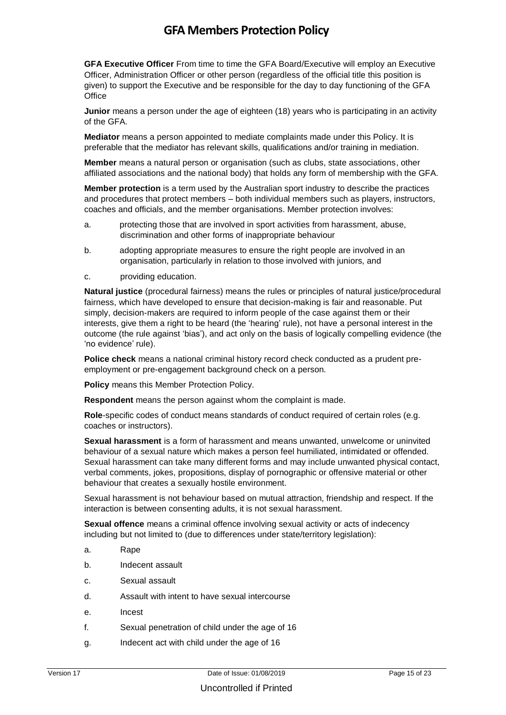**GFA Executive Officer** From time to time the GFA Board/Executive will employ an Executive Officer, Administration Officer or other person (regardless of the official title this position is given) to support the Executive and be responsible for the day to day functioning of the GFA **Office** 

**Junior** means a person under the age of eighteen (18) years who is participating in an activity of the GFA.

**Mediator** means a person appointed to mediate complaints made under this Policy. It is preferable that the mediator has relevant skills, qualifications and/or training in mediation.

**Member** means a natural person or organisation (such as clubs, state associations, other affiliated associations and the national body) that holds any form of membership with the GFA.

**Member protection** is a term used by the Australian sport industry to describe the practices and procedures that protect members – both individual members such as players, instructors, coaches and officials, and the member organisations. Member protection involves:

- a. protecting those that are involved in sport activities from harassment, abuse, discrimination and other forms of inappropriate behaviour
- b. adopting appropriate measures to ensure the right people are involved in an organisation, particularly in relation to those involved with juniors, and
- c. providing education.

**Natural justice** (procedural fairness) means the rules or principles of natural justice/procedural fairness, which have developed to ensure that decision-making is fair and reasonable. Put simply, decision-makers are required to inform people of the case against them or their interests, give them a right to be heard (the 'hearing' rule), not have a personal interest in the outcome (the rule against 'bias'), and act only on the basis of logically compelling evidence (the 'no evidence' rule).

**Police check** means a national criminal history record check conducted as a prudent preemployment or pre-engagement background check on a person.

**Policy** means this Member Protection Policy.

**Respondent** means the person against whom the complaint is made.

**Role**-specific codes of conduct means standards of conduct required of certain roles (e.g. coaches or instructors).

**Sexual harassment** is a form of harassment and means unwanted, unwelcome or uninvited behaviour of a sexual nature which makes a person feel humiliated, intimidated or offended. Sexual harassment can take many different forms and may include unwanted physical contact, verbal comments, jokes, propositions, display of pornographic or offensive material or other behaviour that creates a sexually hostile environment.

Sexual harassment is not behaviour based on mutual attraction, friendship and respect. If the interaction is between consenting adults, it is not sexual harassment.

**Sexual offence** means a criminal offence involving sexual activity or acts of indecency including but not limited to (due to differences under state/territory legislation):

- a. Rape
- b. Indecent assault
- c. Sexual assault
- d. Assault with intent to have sexual intercourse
- e. Incest
- f. Sexual penetration of child under the age of 16
- g. Indecent act with child under the age of 16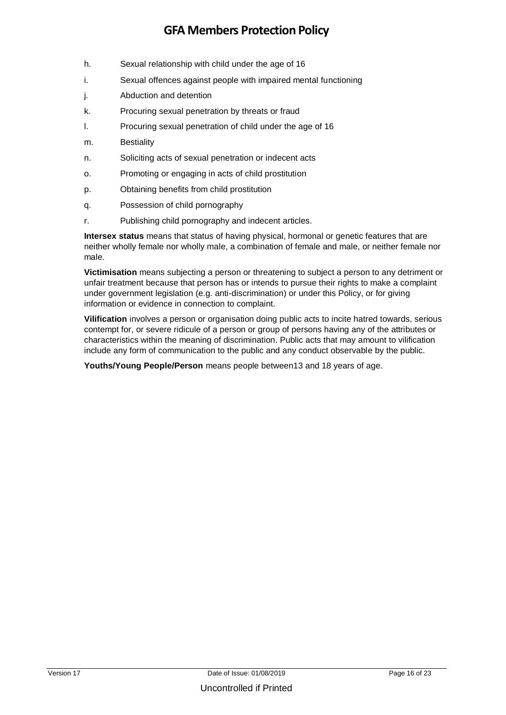- h. Sexual relationship with child under the age of 16
- i. Sexual offences against people with impaired mental functioning
- j. Abduction and detention
- k. Procuring sexual penetration by threats or fraud
- l. Procuring sexual penetration of child under the age of 16
- m. Bestiality
- n. Soliciting acts of sexual penetration or indecent acts
- o. Promoting or engaging in acts of child prostitution
- p. Obtaining benefits from child prostitution
- q. Possession of child pornography
- r. Publishing child pornography and indecent articles.

**Intersex status** means that status of having physical, hormonal or genetic features that are neither wholly female nor wholly male, a combination of female and male, or neither female nor male.

**Victimisation** means subjecting a person or threatening to subject a person to any detriment or unfair treatment because that person has or intends to pursue their rights to make a complaint under government legislation (e.g. anti-discrimination) or under this Policy, or for giving information or evidence in connection to complaint.

**Vilification** involves a person or organisation doing public acts to incite hatred towards, serious contempt for, or severe ridicule of a person or group of persons having any of the attributes or characteristics within the meaning of discrimination. Public acts that may amount to vilification include any form of communication to the public and any conduct observable by the public.

**Youths/Young People/Person** means people between13 and 18 years of age.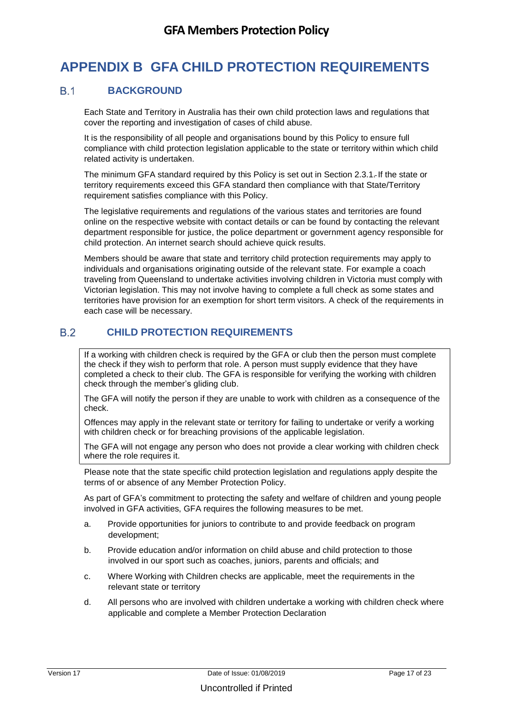# **APPENDIX B GFA CHILD PROTECTION REQUIREMENTS**

#### **B1 BACKGROUND**

Each State and Territory in Australia has their own child protection laws and regulations that cover the reporting and investigation of cases of child abuse.

It is the responsibility of all people and organisations bound by this Policy to ensure full compliance with child protection legislation applicable to the state or territory within which child related activity is undertaken.

The minimum GFA standard required by this Policy is set out in Section 2.3.1. If the state or territory requirements exceed this GFA standard then compliance with that State/Territory requirement satisfies compliance with this Policy.

The legislative requirements and regulations of the various states and territories are found online on the respective website with contact details or can be found by contacting the relevant department responsible for justice, the police department or government agency responsible for child protection. An internet search should achieve quick results.

Members should be aware that state and territory child protection requirements may apply to individuals and organisations originating outside of the relevant state. For example a coach traveling from Queensland to undertake activities involving children in Victoria must comply with Victorian legislation. This may not involve having to complete a full check as some states and territories have provision for an exemption for short term visitors. A check of the requirements in each case will be necessary.

### **CHILD PROTECTION REQUIREMENTS**

If a working with children check is required by the GFA or club then the person must complete the check if they wish to perform that role. A person must supply evidence that they have completed a check to their club. The GFA is responsible for verifying the working with children check through the member's gliding club.

The GFA will notify the person if they are unable to work with children as a consequence of the check.

Offences may apply in the relevant state or territory for failing to undertake or verify a working with children check or for breaching provisions of the applicable legislation.

The GFA will not engage any person who does not provide a clear working with children check where the role requires it.

Please note that the state specific child protection legislation and regulations apply despite the terms of or absence of any Member Protection Policy.

As part of GFA's commitment to protecting the safety and welfare of children and young people involved in GFA activities, GFA requires the following measures to be met.

- a. Provide opportunities for juniors to contribute to and provide feedback on program development;
- b. Provide education and/or information on child abuse and child protection to those involved in our sport such as coaches, juniors, parents and officials; and
- c. Where Working with Children checks are applicable, meet the requirements in the relevant state or territory
- d. All persons who are involved with children undertake a working with children check where applicable and complete a Member Protection Declaration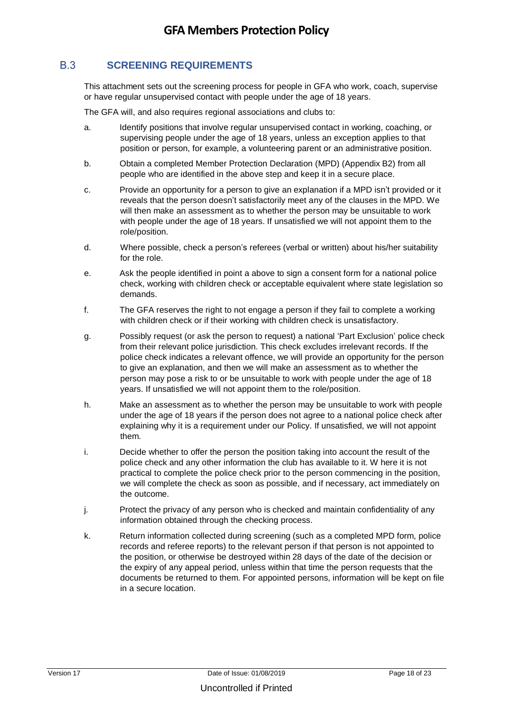#### **SCREENING REQUIREMENTS**

This attachment sets out the screening process for people in GFA who work, coach, supervise or have regular unsupervised contact with people under the age of 18 years.

The GFA will, and also requires regional associations and clubs to:

- a. Identify positions that involve regular unsupervised contact in working, coaching, or supervising people under the age of 18 years, unless an exception applies to that position or person, for example, a volunteering parent or an administrative position.
- b. Obtain a completed Member Protection Declaration (MPD) (Appendix B2) from all people who are identified in the above step and keep it in a secure place.
- c. Provide an opportunity for a person to give an explanation if a MPD isn't provided or it reveals that the person doesn't satisfactorily meet any of the clauses in the MPD. We will then make an assessment as to whether the person may be unsuitable to work with people under the age of 18 years. If unsatisfied we will not appoint them to the role/position.
- d. Where possible, check a person's referees (verbal or written) about his/her suitability for the role.
- e. Ask the people identified in point a above to sign a consent form for a national police check, working with children check or acceptable equivalent where state legislation so demands.
- f. The GFA reserves the right to not engage a person if they fail to complete a working with children check or if their working with children check is unsatisfactory.
- g. Possibly request (or ask the person to request) a national 'Part Exclusion' police check from their relevant police jurisdiction. This check excludes irrelevant records. If the police check indicates a relevant offence, we will provide an opportunity for the person to give an explanation, and then we will make an assessment as to whether the person may pose a risk to or be unsuitable to work with people under the age of 18 years. If unsatisfied we will not appoint them to the role/position.
- h. Make an assessment as to whether the person may be unsuitable to work with people under the age of 18 years if the person does not agree to a national police check after explaining why it is a requirement under our Policy. If unsatisfied, we will not appoint them.
- i. Decide whether to offer the person the position taking into account the result of the police check and any other information the club has available to it. W here it is not practical to complete the police check prior to the person commencing in the position, we will complete the check as soon as possible, and if necessary, act immediately on the outcome.
- j. Protect the privacy of any person who is checked and maintain confidentiality of any information obtained through the checking process.
- k. Return information collected during screening (such as a completed MPD form, police records and referee reports) to the relevant person if that person is not appointed to the position, or otherwise be destroyed within 28 days of the date of the decision or the expiry of any appeal period, unless within that time the person requests that the documents be returned to them. For appointed persons, information will be kept on file in a secure location.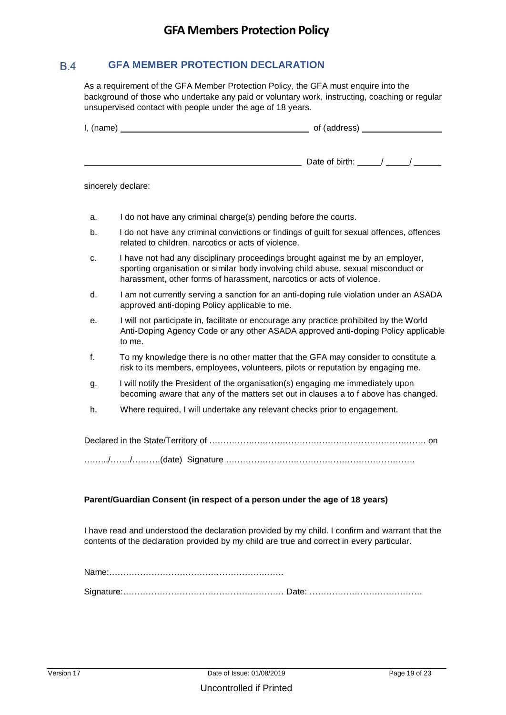#### $B.4$ **GFA MEMBER PROTECTION DECLARATION**

As a requirement of the GFA Member Protection Policy, the GFA must enquire into the background of those who undertake any paid or voluntary work, instructing, coaching or regular unsupervised contact with people under the age of 18 years.

| I, (name) | of (address)       |
|-----------|--------------------|
|           | Date of birth: / / |

sincerely declare:

- a. I do not have any criminal charge(s) pending before the courts.
- b. I do not have any criminal convictions or findings of guilt for sexual offences, offences related to children, narcotics or acts of violence.
- c. I have not had any disciplinary proceedings brought against me by an employer, sporting organisation or similar body involving child abuse, sexual misconduct or harassment, other forms of harassment, narcotics or acts of violence.
- d. I am not currently serving a sanction for an anti-doping rule violation under an ASADA approved anti-doping Policy applicable to me.
- e. I will not participate in, facilitate or encourage any practice prohibited by the World Anti-Doping Agency Code or any other ASADA approved anti-doping Policy applicable to me.
- f. To my knowledge there is no other matter that the GFA may consider to constitute a risk to its members, employees, volunteers, pilots or reputation by engaging me.
- g. I will notify the President of the organisation(s) engaging me immediately upon becoming aware that any of the matters set out in clauses a to f above has changed.
- h. Where required, I will undertake any relevant checks prior to engagement.

#### **Parent/Guardian Consent (in respect of a person under the age of 18 years)**

I have read and understood the declaration provided by my child. I confirm and warrant that the contents of the declaration provided by my child are true and correct in every particular.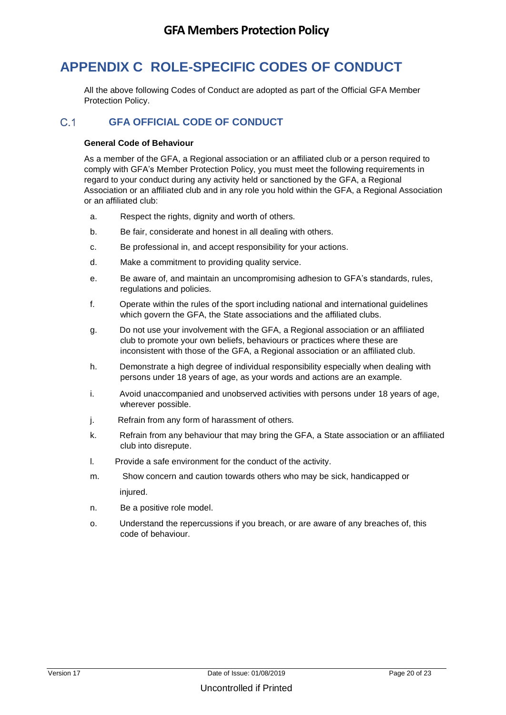# **APPENDIX C ROLE-SPECIFIC CODES OF CONDUCT**

All the above following Codes of Conduct are adopted as part of the Official GFA Member Protection Policy.

### **GFA OFFICIAL CODE OF CONDUCT**

#### **General Code of Behaviour**

As a member of the GFA, a Regional association or an affiliated club or a person required to comply with GFA's Member Protection Policy, you must meet the following requirements in regard to your conduct during any activity held or sanctioned by the GFA, a Regional Association or an affiliated club and in any role you hold within the GFA, a Regional Association or an affiliated club:

- a. Respect the rights, dignity and worth of others.
- b. Be fair, considerate and honest in all dealing with others.
- c. Be professional in, and accept responsibility for your actions.
- d. Make a commitment to providing quality service.
- e. Be aware of, and maintain an uncompromising adhesion to GFA's standards, rules, regulations and policies.
- f. Operate within the rules of the sport including national and international guidelines which govern the GFA, the State associations and the affiliated clubs.
- g. Do not use your involvement with the GFA, a Regional association or an affiliated club to promote your own beliefs, behaviours or practices where these are inconsistent with those of the GFA, a Regional association or an affiliated club.
- h. Demonstrate a high degree of individual responsibility especially when dealing with persons under 18 years of age, as your words and actions are an example.
- i. Avoid unaccompanied and unobserved activities with persons under 18 years of age, wherever possible.
- j. Refrain from any form of harassment of others.
- k. Refrain from any behaviour that may bring the GFA, a State association or an affiliated club into disrepute.
- l. Provide a safe environment for the conduct of the activity.
- m. Show concern and caution towards others who may be sick, handicapped or injured.
- n. Be a positive role model.
- o. Understand the repercussions if you breach, or are aware of any breaches of, this code of behaviour.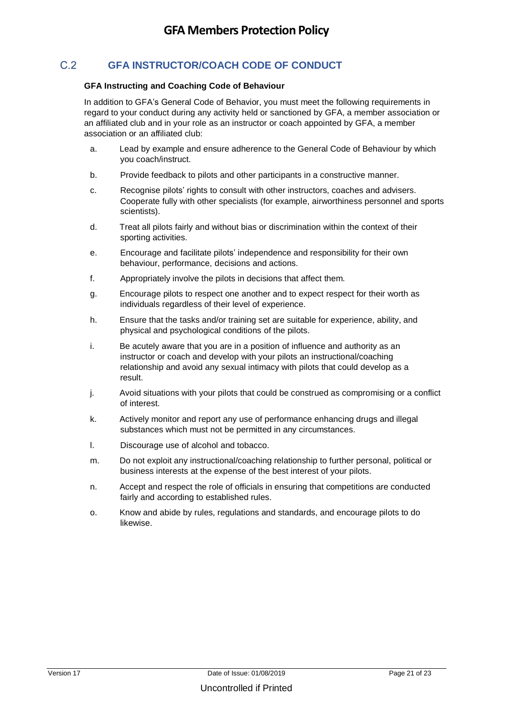### **GFA INSTRUCTOR/COACH CODE OF CONDUCT**

#### **GFA Instructing and Coaching Code of Behaviour**

In addition to GFA's General Code of Behavior, you must meet the following requirements in regard to your conduct during any activity held or sanctioned by GFA, a member association or an affiliated club and in your role as an instructor or coach appointed by GFA, a member association or an affiliated club:

- a. Lead by example and ensure adherence to the General Code of Behaviour by which you coach/instruct.
- b. Provide feedback to pilots and other participants in a constructive manner.
- c. Recognise pilots' rights to consult with other instructors, coaches and advisers. Cooperate fully with other specialists (for example, airworthiness personnel and sports scientists).
- d. Treat all pilots fairly and without bias or discrimination within the context of their sporting activities.
- e. Encourage and facilitate pilots' independence and responsibility for their own behaviour, performance, decisions and actions.
- f. Appropriately involve the pilots in decisions that affect them.
- g. Encourage pilots to respect one another and to expect respect for their worth as individuals regardless of their level of experience.
- h. Ensure that the tasks and/or training set are suitable for experience, ability, and physical and psychological conditions of the pilots.
- i. Be acutely aware that you are in a position of influence and authority as an instructor or coach and develop with your pilots an instructional/coaching relationship and avoid any sexual intimacy with pilots that could develop as a result.
- j. Avoid situations with your pilots that could be construed as compromising or a conflict of interest.
- k. Actively monitor and report any use of performance enhancing drugs and illegal substances which must not be permitted in any circumstances.
- l. Discourage use of alcohol and tobacco.
- m. Do not exploit any instructional/coaching relationship to further personal, political or business interests at the expense of the best interest of your pilots.
- n. Accept and respect the role of officials in ensuring that competitions are conducted fairly and according to established rules.
- o. Know and abide by rules, regulations and standards, and encourage pilots to do likewise.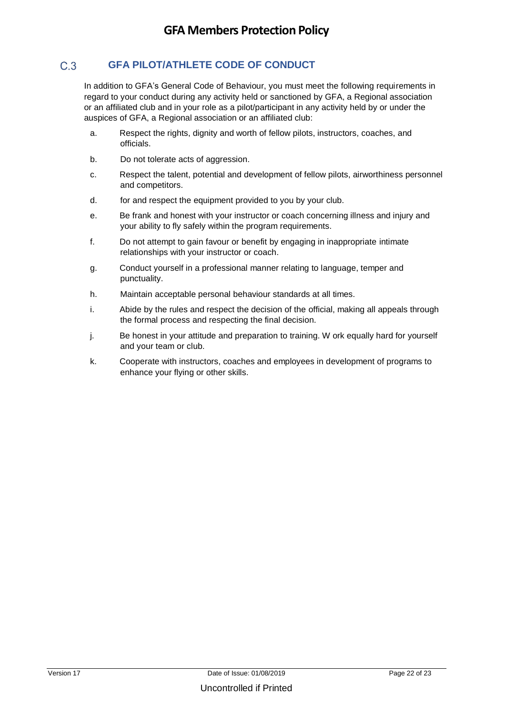#### $C.3$ **GFA PILOT/ATHLETE CODE OF CONDUCT**

In addition to GFA's General Code of Behaviour, you must meet the following requirements in regard to your conduct during any activity held or sanctioned by GFA, a Regional association or an affiliated club and in your role as a pilot/participant in any activity held by or under the auspices of GFA, a Regional association or an affiliated club:

- a. Respect the rights, dignity and worth of fellow pilots, instructors, coaches, and officials.
- b. Do not tolerate acts of aggression.
- c. Respect the talent, potential and development of fellow pilots, airworthiness personnel and competitors.
- d. for and respect the equipment provided to you by your club.
- e. Be frank and honest with your instructor or coach concerning illness and injury and your ability to fly safely within the program requirements.
- f. Do not attempt to gain favour or benefit by engaging in inappropriate intimate relationships with your instructor or coach.
- g. Conduct yourself in a professional manner relating to language, temper and punctuality.
- h. Maintain acceptable personal behaviour standards at all times.
- i. Abide by the rules and respect the decision of the official, making all appeals through the formal process and respecting the final decision.
- j. Be honest in your attitude and preparation to training. W ork equally hard for yourself and your team or club.
- k. Cooperate with instructors, coaches and employees in development of programs to enhance your flying or other skills.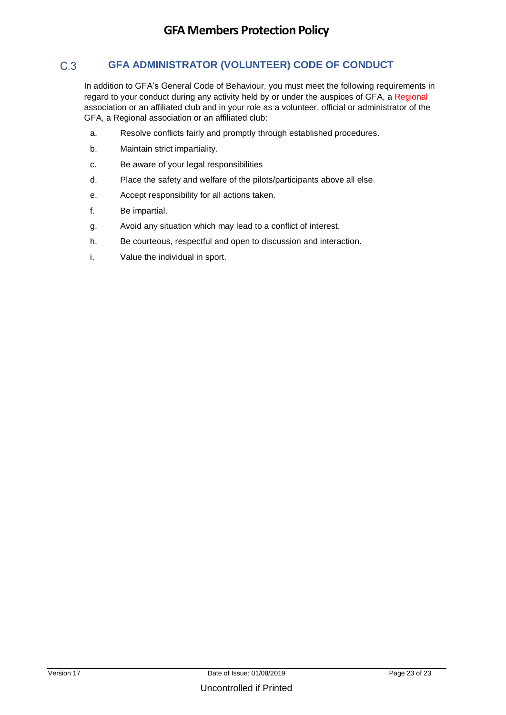#### $C.3$ **GFA ADMINISTRATOR (VOLUNTEER) CODE OF CONDUCT**

In addition to GFA's General Code of Behaviour, you must meet the following requirements in regard to your conduct during any activity held by or under the auspices of GFA, a Regional association or an affiliated club and in your role as a volunteer, official or administrator of the GFA, a Regional association or an affiliated club:

- a. Resolve conflicts fairly and promptly through established procedures.
- b. Maintain strict impartiality.
- c. Be aware of your legal responsibilities
- d. Place the safety and welfare of the pilots/participants above all else.
- e. Accept responsibility for all actions taken.
- f. Be impartial.
- g. Avoid any situation which may lead to a conflict of interest.
- h. Be courteous, respectful and open to discussion and interaction.
- i. Value the individual in sport.